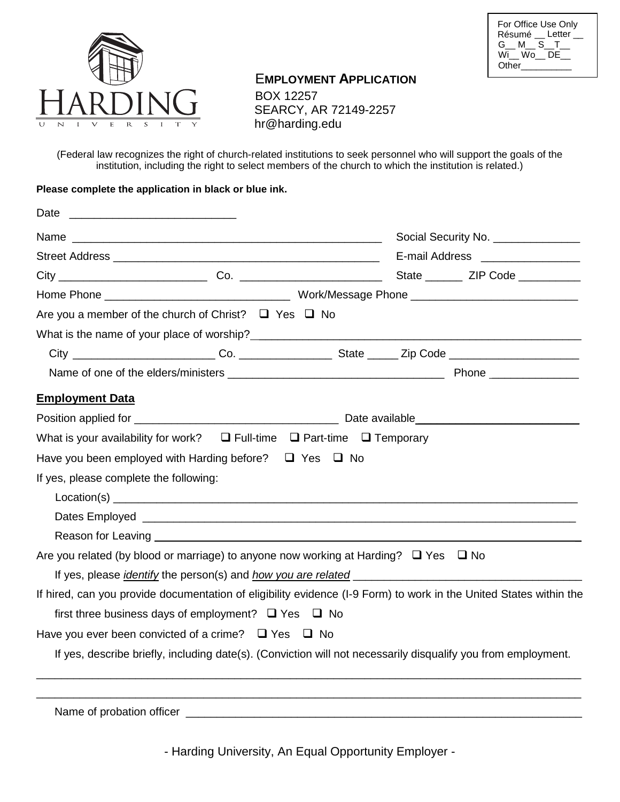



# E**MPLOYMENT APPLICATION**

 BOX 12257 SEARCY, AR 72149-2257 hr@harding.edu

(Federal law recognizes the right of church-related institutions to seek personnel who will support the goals of the institution, including the right to select members of the church to which the institution is related.)

## **Please complete the application in black or blue ink.**

| Date<br><u> 2000 - Jan James James Jan James James James James James James James James James James James James James James Ja</u>                                                                                                   |  |                                      |
|-------------------------------------------------------------------------------------------------------------------------------------------------------------------------------------------------------------------------------------|--|--------------------------------------|
|                                                                                                                                                                                                                                     |  | Social Security No. _______________  |
|                                                                                                                                                                                                                                     |  | E-mail Address ___________________   |
|                                                                                                                                                                                                                                     |  | State _________ ZIP Code ___________ |
|                                                                                                                                                                                                                                     |  |                                      |
| Are you a member of the church of Christ? $\Box$ Yes $\Box$ No                                                                                                                                                                      |  |                                      |
|                                                                                                                                                                                                                                     |  |                                      |
|                                                                                                                                                                                                                                     |  |                                      |
|                                                                                                                                                                                                                                     |  |                                      |
| <b>Employment Data</b>                                                                                                                                                                                                              |  |                                      |
|                                                                                                                                                                                                                                     |  |                                      |
| What is your availability for work? $\Box$ Full-time $\Box$ Part-time $\Box$ Temporary                                                                                                                                              |  |                                      |
| Have you been employed with Harding before? $\Box$ Yes $\Box$ No                                                                                                                                                                    |  |                                      |
| If yes, please complete the following:                                                                                                                                                                                              |  |                                      |
|                                                                                                                                                                                                                                     |  |                                      |
|                                                                                                                                                                                                                                     |  |                                      |
| Reason for Leaving <u>experience</u> and the contract of the contract of the contract of the contract of the contract of the contract of the contract of the contract of the contract of the contract of the contract of the contra |  |                                      |
| Are you related (by blood or marriage) to anyone now working at Harding? $\Box$ Yes $\Box$ No                                                                                                                                       |  |                                      |
|                                                                                                                                                                                                                                     |  |                                      |
| If hired, can you provide documentation of eligibility evidence (I-9 Form) to work in the United States within the                                                                                                                  |  |                                      |
| first three business days of employment? $\Box$ Yes $\Box$ No                                                                                                                                                                       |  |                                      |
| Have you ever been convicted of a crime? $\Box$ Yes $\Box$ No                                                                                                                                                                       |  |                                      |
| If yes, describe briefly, including date(s). (Conviction will not necessarily disqualify you from employment.                                                                                                                       |  |                                      |
|                                                                                                                                                                                                                                     |  |                                      |
| Name of probation officer                                                                                                                                                                                                           |  |                                      |

- Harding University, An Equal Opportunity Employer -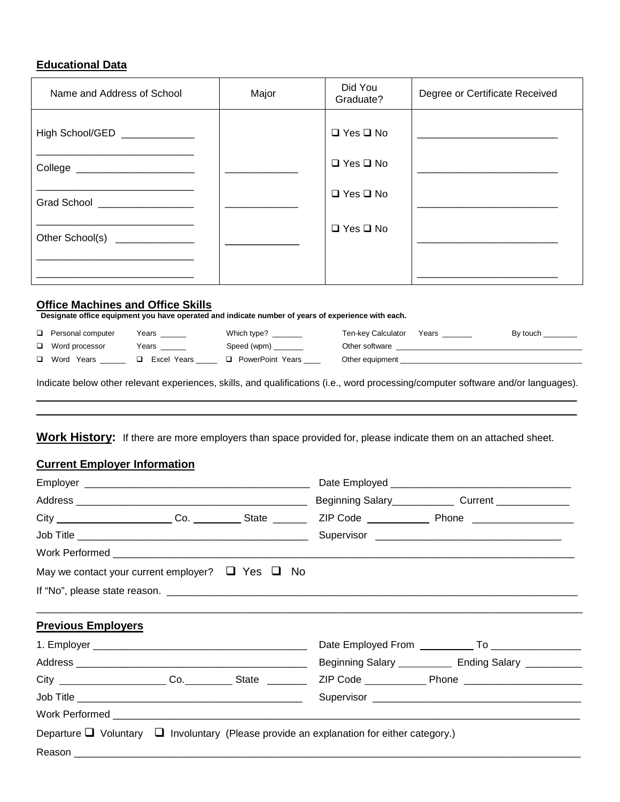# **Educational Data**

| Name and Address of School     | Major | Did You<br>Graduate? | Degree or Certificate Received |
|--------------------------------|-------|----------------------|--------------------------------|
| High School/GED _____________  |       | $\Box$ Yes $\Box$ No |                                |
| College ______________________ |       | $\Box$ Yes $\Box$ No |                                |
| Grad School __________________ |       | $\Box$ Yes $\Box$ No |                                |
| Other School(s) ______________ |       | $\Box$ Yes $\Box$ No |                                |
|                                |       |                      |                                |

**Office Machines and Office Skills**<br>Designate office equipment you have operated and indicate number of years of experience with each.

| $\Box$ Personal computer | Years       | Which type?<br>the company of the company of | Ten-key Calculator | Years | By touch ________ |
|--------------------------|-------------|----------------------------------------------|--------------------|-------|-------------------|
| $\Box$ Word processor    | Years       | Speed (wpm)                                  | Other software     |       |                   |
| □ Word Years             | Excel Years | PowerPoint Years                             | Other equipment    |       |                   |
|                          |             |                                              |                    |       |                   |

Indicate below other relevant experiences, skills, and qualifications (i.e., word processing/computer software and/or languages).  $\overline{\phantom{a}}$  , and the contribution of the contribution of the contribution of the contribution of the contribution of the contribution of the contribution of the contribution of the contribution of the contribution of the

 $\_$  , and the contribution of the contribution of the contribution of the contribution of the contribution of  $\sim$ 

**Work History:** If there are more employers than space provided for, please indicate them on an attached sheet.

# **Current Employer Information**

|                           | May we contact your current employer? $\Box$ Yes $\Box$ No |                                                                                                    |                                                          |
|---------------------------|------------------------------------------------------------|----------------------------------------------------------------------------------------------------|----------------------------------------------------------|
|                           |                                                            |                                                                                                    |                                                          |
|                           |                                                            |                                                                                                    |                                                          |
| <b>Previous Employers</b> |                                                            |                                                                                                    |                                                          |
|                           |                                                            |                                                                                                    |                                                          |
|                           |                                                            |                                                                                                    | Beginning Salary _____________ Ending Salary ___________ |
|                           | City Co. State Co.                                         |                                                                                                    |                                                          |
|                           |                                                            |                                                                                                    |                                                          |
|                           |                                                            |                                                                                                    |                                                          |
|                           |                                                            | Departure $\Box$ Voluntary $\Box$ Involuntary (Please provide an explanation for either category.) |                                                          |
|                           |                                                            |                                                                                                    |                                                          |
|                           |                                                            |                                                                                                    |                                                          |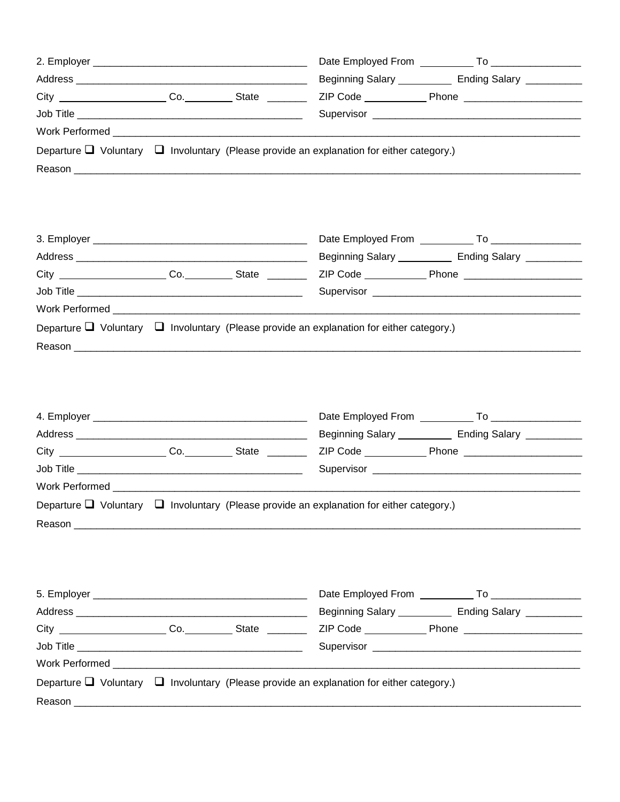|  |                                                                                                    | Beginning Salary _____________ Ending Salary ___________                                                       |
|--|----------------------------------------------------------------------------------------------------|----------------------------------------------------------------------------------------------------------------|
|  |                                                                                                    |                                                                                                                |
|  |                                                                                                    |                                                                                                                |
|  |                                                                                                    |                                                                                                                |
|  | Departure $\Box$ Voluntary $\Box$ Involuntary (Please provide an explanation for either category.) |                                                                                                                |
|  |                                                                                                    |                                                                                                                |
|  |                                                                                                    |                                                                                                                |
|  |                                                                                                    |                                                                                                                |
|  |                                                                                                    |                                                                                                                |
|  |                                                                                                    |                                                                                                                |
|  |                                                                                                    | Beginning Salary _____________ Ending Salary ___________                                                       |
|  |                                                                                                    |                                                                                                                |
|  |                                                                                                    |                                                                                                                |
|  |                                                                                                    |                                                                                                                |
|  | Departure $\Box$ Voluntary $\Box$ Involuntary (Please provide an explanation for either category.) |                                                                                                                |
|  |                                                                                                    |                                                                                                                |
|  |                                                                                                    |                                                                                                                |
|  |                                                                                                    |                                                                                                                |
|  |                                                                                                    |                                                                                                                |
|  |                                                                                                    |                                                                                                                |
|  |                                                                                                    |                                                                                                                |
|  |                                                                                                    |                                                                                                                |
|  |                                                                                                    | Beginning Salary _____________ Ending Salary __________                                                        |
|  |                                                                                                    |                                                                                                                |
|  |                                                                                                    |                                                                                                                |
|  |                                                                                                    |                                                                                                                |
|  | Departure $\Box$ Voluntary $\Box$ Involuntary (Please provide an explanation for either category.) |                                                                                                                |
|  |                                                                                                    |                                                                                                                |
|  |                                                                                                    |                                                                                                                |
|  |                                                                                                    |                                                                                                                |
|  |                                                                                                    |                                                                                                                |
|  |                                                                                                    |                                                                                                                |
|  |                                                                                                    | Beginning Salary ______________ Ending Salary ___________                                                      |
|  |                                                                                                    | City ______________________Co.____________State _____________ZIP Code ____________Phone ______________________ |
|  |                                                                                                    |                                                                                                                |
|  |                                                                                                    |                                                                                                                |
|  |                                                                                                    |                                                                                                                |
|  | Departure $\Box$ Voluntary $\Box$ Involuntary (Please provide an explanation for either category.) |                                                                                                                |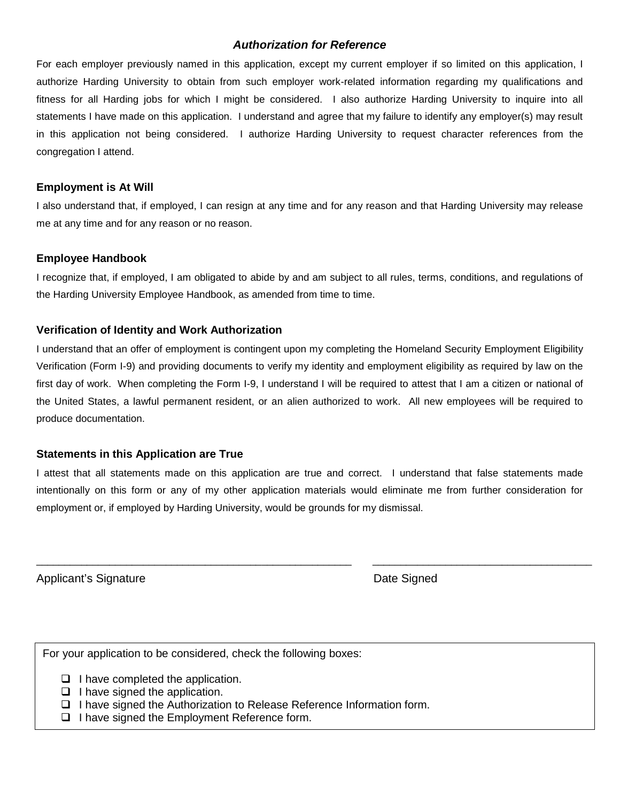# *Authorization for Reference*

For each employer previously named in this application, except my current employer if so limited on this application, I authorize Harding University to obtain from such employer work-related information regarding my qualifications and fitness for all Harding jobs for which I might be considered. I also authorize Harding University to inquire into all statements I have made on this application. I understand and agree that my failure to identify any employer(s) may result in this application not being considered. I authorize Harding University to request character references from the congregation I attend.

## **Employment is At Will**

I also understand that, if employed, I can resign at any time and for any reason and that Harding University may release me at any time and for any reason or no reason.

## **Employee Handbook**

I recognize that, if employed, I am obligated to abide by and am subject to all rules, terms, conditions, and regulations of the Harding University Employee Handbook, as amended from time to time.

## **Verification of Identity and Work Authorization**

I understand that an offer of employment is contingent upon my completing the Homeland Security Employment Eligibility Verification (Form I-9) and providing documents to verify my identity and employment eligibility as required by law on the first day of work. When completing the Form I-9, I understand I will be required to attest that I am a citizen or national of the United States, a lawful permanent resident, or an alien authorized to work. All new employees will be required to produce documentation.

## **Statements in this Application are True**

I attest that all statements made on this application are true and correct. I understand that false statements made intentionally on this form or any of my other application materials would eliminate me from further consideration for employment or, if employed by Harding University, would be grounds for my dismissal.

\_\_\_\_\_\_\_\_\_\_\_\_\_\_\_\_\_\_\_\_\_\_\_\_\_\_\_\_\_\_\_\_\_\_\_\_\_\_\_\_\_\_\_\_\_\_\_\_\_\_\_\_\_\_\_\_ \_\_\_\_\_\_\_\_\_\_\_\_\_\_\_\_\_\_\_\_\_\_\_\_\_\_\_\_\_\_\_\_\_\_\_\_\_\_\_

Applicant's Signature **Date Signed** Applicant's Signature **Date Signed** 

For your application to be considered, check the following boxes:

 $\Box$  I have completed the application.

- $\Box$  I have signed the application.
- I have signed the Authorization to Release Reference Information form.
- $\Box$  I have signed the Employment Reference form.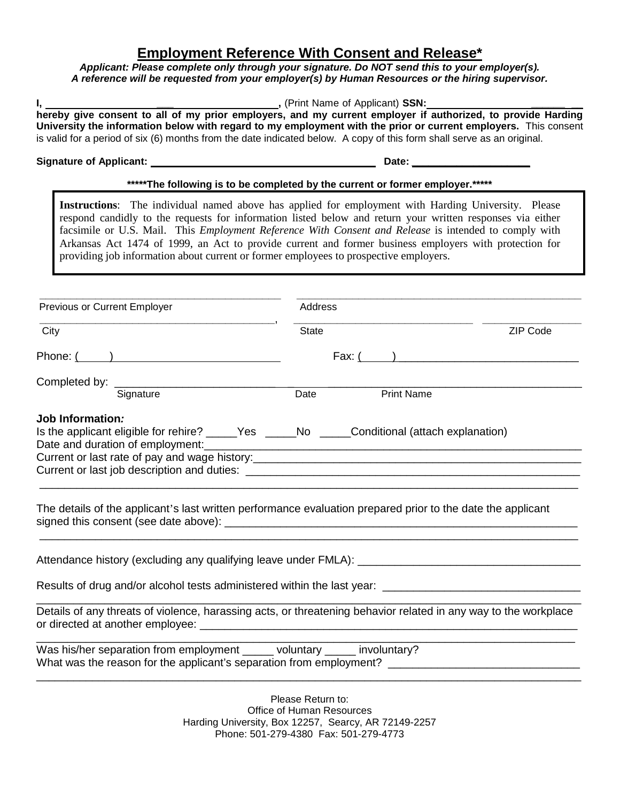# **Employment Reference With Consent and Release\***

*Applicant: Please complete only through your signature. Do NOT send this to your employer(s). A reference will be requested from your employer(s) by Human Resources or the hiring supervisor.*

|                                                                                       | *****The following is to be completed by the current or former employer.*****                                                                                                                                                                                                                                                                                                                                                        |          |
|---------------------------------------------------------------------------------------|--------------------------------------------------------------------------------------------------------------------------------------------------------------------------------------------------------------------------------------------------------------------------------------------------------------------------------------------------------------------------------------------------------------------------------------|----------|
| providing job information about current or former employees to prospective employers. | Instructions: The individual named above has applied for employment with Harding University. Please<br>respond candidly to the requests for information listed below and return your written responses via either<br>facsimile or U.S. Mail. This Employment Reference With Consent and Release is intended to comply with<br>Arkansas Act 1474 of 1999, an Act to provide current and former business employers with protection for |          |
| Previous or Current Employer                                                          | Address                                                                                                                                                                                                                                                                                                                                                                                                                              |          |
| City                                                                                  | <b>State</b>                                                                                                                                                                                                                                                                                                                                                                                                                         | ZIP Code |
| Phone: $($ and $)$                                                                    | Fax: $($ and $)$                                                                                                                                                                                                                                                                                                                                                                                                                     |          |
|                                                                                       |                                                                                                                                                                                                                                                                                                                                                                                                                                      |          |
| Completed by: Signature                                                               | <b>Print Name</b><br>Date                                                                                                                                                                                                                                                                                                                                                                                                            |          |
| Date and duration of employment:                                                      | Is the applicant eligible for rehire? _____Yes _____No _____Conditional (attach explanation)<br>The details of the applicant's last written performance evaluation prepared prior to the date the applicant                                                                                                                                                                                                                          |          |
|                                                                                       |                                                                                                                                                                                                                                                                                                                                                                                                                                      |          |
|                                                                                       | Results of drug and/or alcohol tests administered within the last year: ___________________________                                                                                                                                                                                                                                                                                                                                  |          |
|                                                                                       | Details of any threats of violence, harassing acts, or threatening behavior related in any way to the workplace                                                                                                                                                                                                                                                                                                                      |          |
|                                                                                       |                                                                                                                                                                                                                                                                                                                                                                                                                                      |          |

Phone: 501-279-4380 Fax: 501-279-4773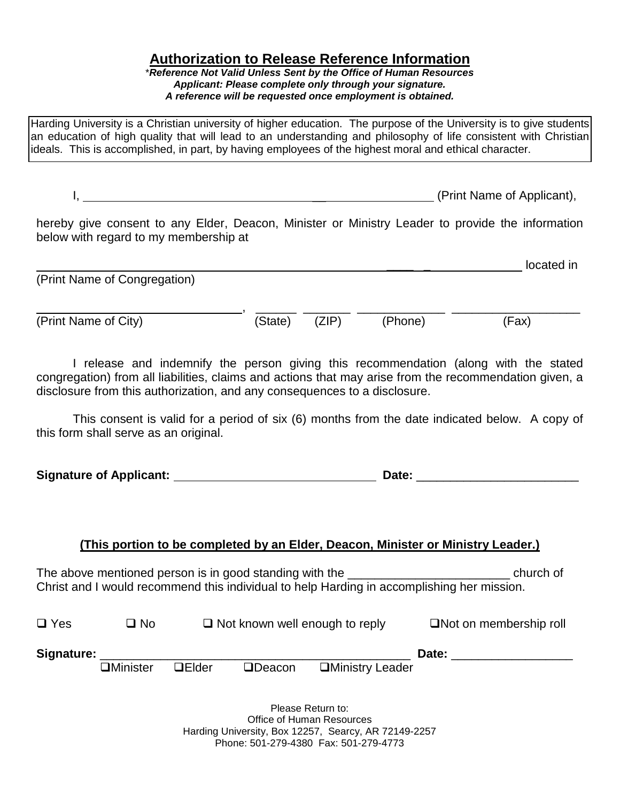# **Authorization to Release Reference Information**

\**Reference Not Valid Unless Sent by the Office of Human Resources Applicant: Please complete only through your signature. A reference will be requested once employment is obtained.*

Harding University is a Christian university of higher education. The purpose of the University is to give students an education of high quality that will lead to an understanding and philosophy of life consistent with Christian ideals. This is accomplished, in part, by having employees of the highest moral and ethical character.

I,  $\blacksquare$ 

hereby give consent to any Elder, Deacon, Minister or Ministry Leader to provide the information below with regard to my membership at

|                              |         |       |         | located in |
|------------------------------|---------|-------|---------|------------|
| (Print Name of Congregation) |         |       |         |            |
|                              |         |       |         |            |
| (Print Name of City)         | (State) | (ZIP) | (Phone) | (Fax)      |
|                              |         |       |         |            |
|                              |         |       |         |            |

I release and indemnify the person giving this recommendation (along with the stated congregation) from all liabilities, claims and actions that may arise from the recommendation given, a disclosure from this authorization, and any consequences to a disclosure.

This consent is valid for a period of six (6) months from the date indicated below. A copy of this form shall serve as an original.

**Signature of Applicant: Date:** \_\_\_\_\_\_\_\_\_\_\_\_\_\_\_\_\_\_\_\_\_\_\_\_

# **(This portion to be completed by an Elder, Deacon, Minister or Ministry Leader.)**

The above mentioned person is in good standing with the \_\_\_\_\_\_\_\_\_\_\_\_\_\_\_\_\_\_\_\_\_\_\_\_ church of Christ and I would recommend this individual to help Harding in accomplishing her mission.

| $\Box$ Yes | $\square$ No | $\Box$ Not known well enough to reply | $\Box$ Not on membership roll |
|------------|--------------|---------------------------------------|-------------------------------|
|            |              |                                       |                               |

| Signature: |           |         |         | Date             |  |  |  |
|------------|-----------|---------|---------|------------------|--|--|--|
|            | ⊐Minister | ∃Flder. | ⊐Deacon | □Ministry Leader |  |  |  |

Please Return to: Office of Human Resources Harding University, Box 12257, Searcy, AR 72149-2257 Phone: 501-279-4380 Fax: 501-279-4773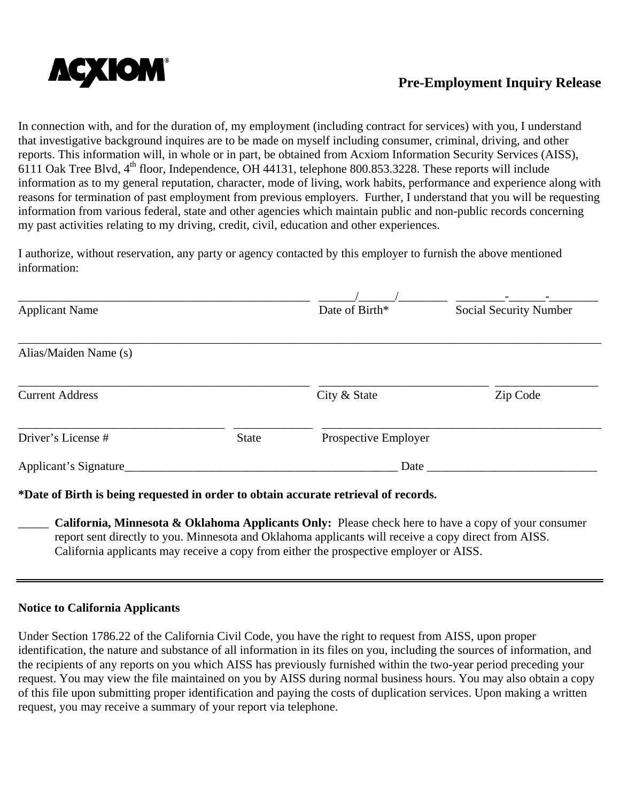

In connection with, and for the duration of, my employment (including contract for services) with you, I understand that investigative background inquires are to be made on myself including consumer, criminal, driving, and other reports. This information will, in whole or in part, be obtained from Acxiom Information Security Services (AISS), 6111 Oak Tree Blvd,  $4<sup>th</sup>$  floor, Independence, OH 44131, telephone 800.853.3228. These reports will include information as to my general reputation, character, mode of living, work habits, performance and experience along with reasons for termination of past employment from previous employers. Further, I understand that you will be requesting information from various federal, state and other agencies which maintain public and non-public records concerning my past activities relating to my driving, credit, civil, education and other experiences.

I authorize, without reservation, any party or agency contacted by this employer to furnish the above mentioned information:

| <b>Applicant Name</b>  |              | Date of Birth*       | <b>Social Security Number</b> |  |  |
|------------------------|--------------|----------------------|-------------------------------|--|--|
| Alias/Maiden Name (s)  |              |                      |                               |  |  |
| <b>Current Address</b> |              | City & State         | Zip Code                      |  |  |
| Driver's License #     | <b>State</b> | Prospective Employer |                               |  |  |
| Applicant's Signature  |              | Date                 |                               |  |  |

# **\*Date of Birth is being requested in order to obtain accurate retrieval of records.**

\_\_\_\_\_ **California, Minnesota & Oklahoma Applicants Only:** Please check here to have a copy of your consumer report sent directly to you. Minnesota and Oklahoma applicants will receive a copy direct from AISS. California applicants may receive a copy from either the prospective employer or AISS.

# **Notice to California Applicants**

Under Section 1786.22 of the California Civil Code, you have the right to request from AISS, upon proper identification, the nature and substance of all information in its files on you, including the sources of information, and the recipients of any reports on you which AISS has previously furnished within the two-year period preceding your request. You may view the file maintained on you by AISS during normal business hours. You may also obtain a copy of this file upon submitting proper identification and paying the costs of duplication services. Upon making a written request, you may receive a summary of your report via telephone.